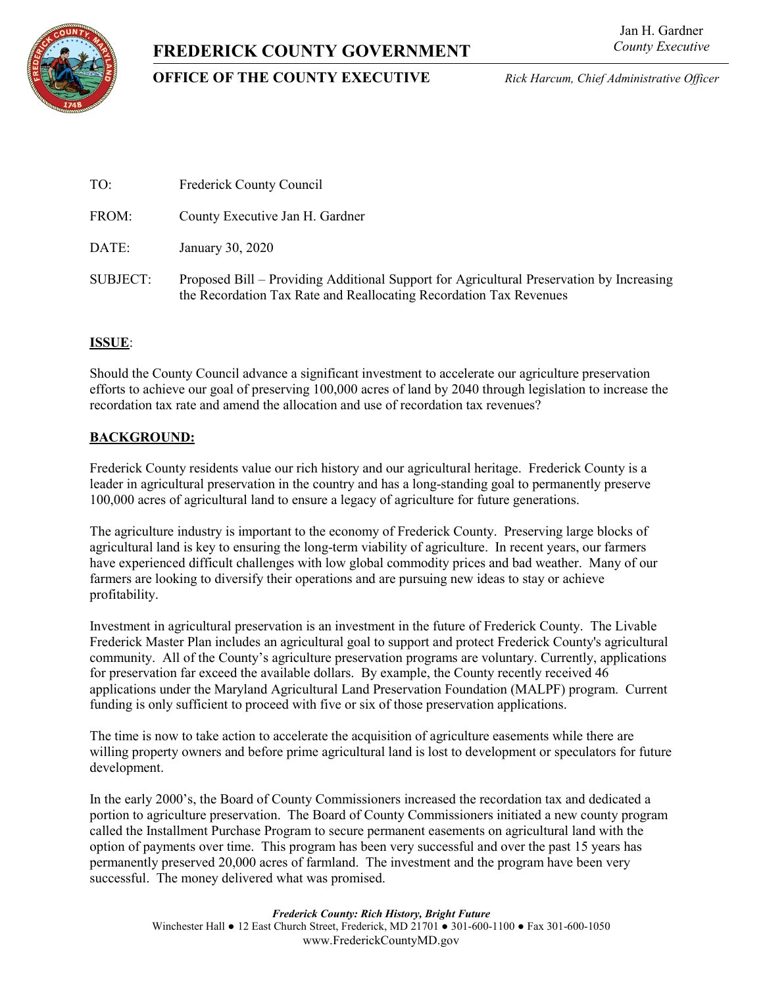# **FREDERICK COUNTY GOVERNMENT**



## **OFFICE OF THE COUNTY EXECUTIVE** *Rick Harcum, Chief Administrative Officer*

| TO:             | Frederick County Council                                                                                                                                       |
|-----------------|----------------------------------------------------------------------------------------------------------------------------------------------------------------|
| FROM:           | County Executive Jan H. Gardner                                                                                                                                |
| DATE:           | January 30, 2020                                                                                                                                               |
| <b>SUBJECT:</b> | Proposed Bill – Providing Additional Support for Agricultural Preservation by Increasing<br>the Recordation Tax Rate and Reallocating Recordation Tax Revenues |

## **ISSUE**:

Should the County Council advance a significant investment to accelerate our agriculture preservation efforts to achieve our goal of preserving 100,000 acres of land by 2040 through legislation to increase the recordation tax rate and amend the allocation and use of recordation tax revenues?

### **BACKGROUND:**

Frederick County residents value our rich history and our agricultural heritage. Frederick County is a leader in agricultural preservation in the country and has a long-standing goal to permanently preserve 100,000 acres of agricultural land to ensure a legacy of agriculture for future generations.

The agriculture industry is important to the economy of Frederick County. Preserving large blocks of agricultural land is key to ensuring the long-term viability of agriculture. In recent years, our farmers have experienced difficult challenges with low global commodity prices and bad weather. Many of our farmers are looking to diversify their operations and are pursuing new ideas to stay or achieve profitability.

Investment in agricultural preservation is an investment in the future of Frederick County. The Livable Frederick Master Plan includes an agricultural goal to support and protect Frederick County's agricultural community. All of the County's agriculture preservation programs are voluntary. Currently, applications for preservation far exceed the available dollars. By example, the County recently received  $46$ applications under the Maryland Agricultural Land Preservation Foundation (MALPF) program. Current funding is only sufficient to proceed with five or six of those preservation applications.

The time is now to take action to accelerate the acquisition of agriculture easements while there are willing property owners and before prime agricultural land is lost to development or speculators for future development.

In the early 2000's, the Board of County Commissioners increased the recordation tax and dedicated a portion to agriculture preservation. The Board of County Commissioners initiated a new county program called the Installment Purchase Program to secure permanent easements on agricultural land with the option of payments over time. This program has been very successful and over the past 15 years has permanently preserved 20,000 acres of farmland. The investment and the program have been very successful. The money delivered what was promised.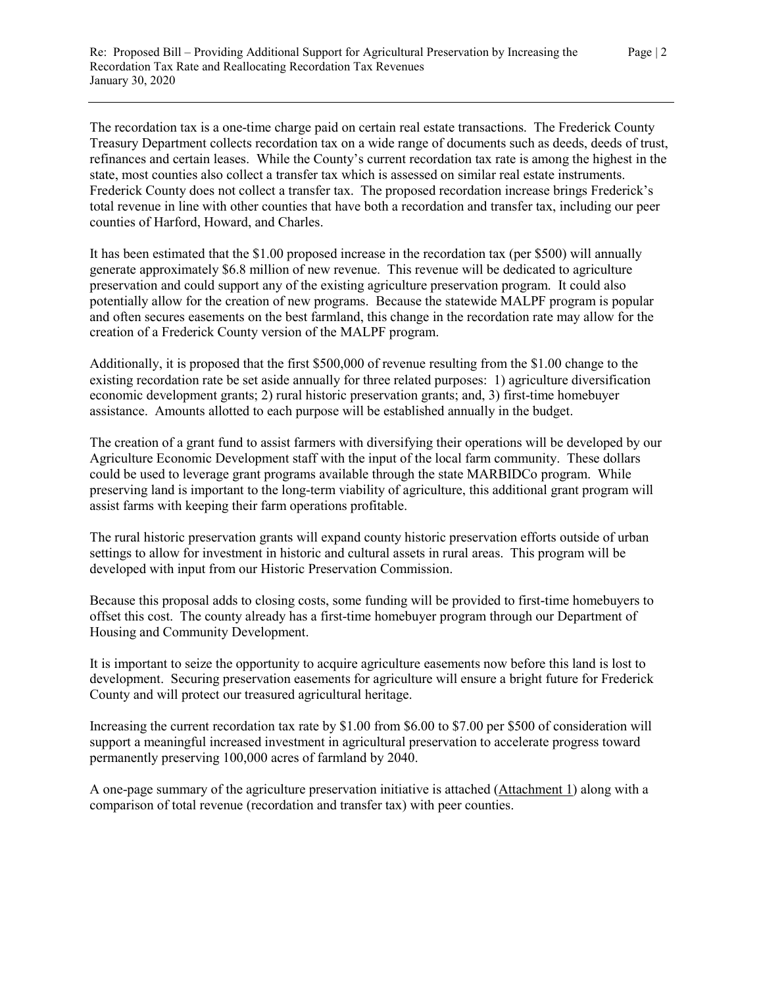The recordation tax is a one-time charge paid on certain real estate transactions. The Frederick County Treasury Department collects recordation tax on a wide range of documents such as deeds, deeds of trust, refinances and certain leases. While the County's current recordation tax rate is among the highest in the state, most counties also collect a transfer tax which is assessed on similar real estate instruments. Frederick County does not collect a transfer tax. The proposed recordation increase brings Frederick's total revenue in line with other counties that have both a recordation and transfer tax, including our peer counties of Harford, Howard, and Charles.

It has been estimated that the \$1.00 proposed increase in the recordation tax (per \$500) will annually generate approximately \$6.8 million of new revenue. This revenue will be dedicated to agriculture preservation and could support any of the existing agriculture preservation program. It could also potentially allow for the creation of new programs. Because the statewide MALPF program is popular and often secures easements on the best farmland, this change in the recordation rate may allow for the creation of a Frederick County version of the MALPF program.

Additionally, it is proposed that the first \$500,000 of revenue resulting from the \$1.00 change to the existing recordation rate be set aside annually for three related purposes: 1) agriculture diversification economic development grants; 2) rural historic preservation grants; and, 3) first-time homebuyer assistance. Amounts allotted to each purpose will be established annually in the budget.

The creation of a grant fund to assist farmers with diversifying their operations will be developed by our Agriculture Economic Development staff with the input of the local farm community. These dollars could be used to leverage grant programs available through the state MARBIDCo program. While preserving land is important to the long-term viability of agriculture, this additional grant program will assist farms with keeping their farm operations profitable.

The rural historic preservation grants will expand county historic preservation efforts outside of urban settings to allow for investment in historic and cultural assets in rural areas. This program will be developed with input from our Historic Preservation Commission.

Because this proposal adds to closing costs, some funding will be provided to first-time homebuyers to offset this cost. The county already has a first-time homebuyer program through our Department of Housing and Community Development.

It is important to seize the opportunity to acquire agriculture easements now before this land is lost to development. Securing preservation easements for agriculture will ensure a bright future for Frederick County and will protect our treasured agricultural heritage.

Increasing the current recordation tax rate by \$1.00 from \$6.00 to \$7.00 per \$500 of consideration will support a meaningful increased investment in agricultural preservation to accelerate progress toward permanently preserving 100,000 acres of farmland by 2040.

A one-page summary of the agriculture preservation initiative is attached (Attachment 1) along with a comparison of total revenue (recordation and transfer tax) with peer counties.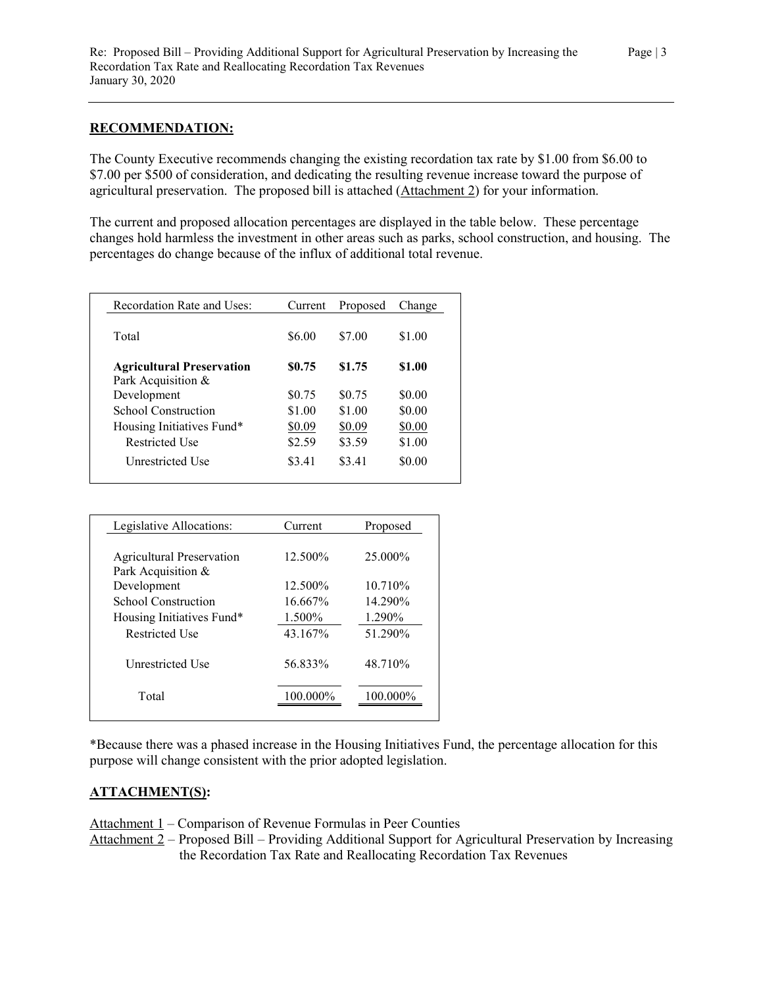#### **RECOMMENDATION:**

The County Executive recommends changing the existing recordation tax rate by \$1.00 from \$6.00 to \$7.00 per \$500 of consideration, and dedicating the resulting revenue increase toward the purpose of agricultural preservation. The proposed bill is attached (Attachment 2) for your information.

The current and proposed allocation percentages are displayed in the table below. These percentage changes hold harmless the investment in other areas such as parks, school construction, and housing. The percentages do change because of the influx of additional total revenue.

| Recordation Rate and Uses:                             | Current | Proposed | Change |
|--------------------------------------------------------|---------|----------|--------|
| Total                                                  | \$6.00  | \$7.00   | \$1.00 |
| <b>Agricultural Preservation</b><br>Park Acquisition & | \$0.75  | \$1.75   | \$1.00 |
| Development                                            | \$0.75  | \$0.75   | \$0.00 |
| School Construction                                    | \$1.00  | \$1.00   | \$0.00 |
| Housing Initiatives Fund*                              | \$0.09  | \$0.09   | \$0.00 |
| Restricted Use                                         | \$2.59  | \$3.59   | \$1.00 |
| Unrestricted Use                                       | \$3.41  | \$3.41   | \$0.00 |

| Legislative Allocations:  | Current     | Proposed |
|---------------------------|-------------|----------|
|                           |             |          |
| Agricultural Preservation | 12.500\%    | 25.000\% |
| Park Acquisition &        |             |          |
| Development               | 12.500%     | 10.710\% |
| School Construction       | 16.667%     | 14.290%  |
| Housing Initiatives Fund* | 1.500%      | 1.290%   |
| Restricted Use            | 43.167%     | 51.290%  |
|                           |             |          |
| Unrestricted Use          | 56.833%     | 48.710\% |
|                           |             |          |
| Total                     | $100.000\%$ | 100.000% |
|                           |             |          |

\*Because there was a phased increase in the Housing Initiatives Fund, the percentage allocation for this purpose will change consistent with the prior adopted legislation.

#### **ATTACHMENT(S):**

Attachment 1 – Comparison of Revenue Formulas in Peer Counties

Attachment 2 – Proposed Bill – Providing Additional Support for Agricultural Preservation by Increasing the Recordation Tax Rate and Reallocating Recordation Tax Revenues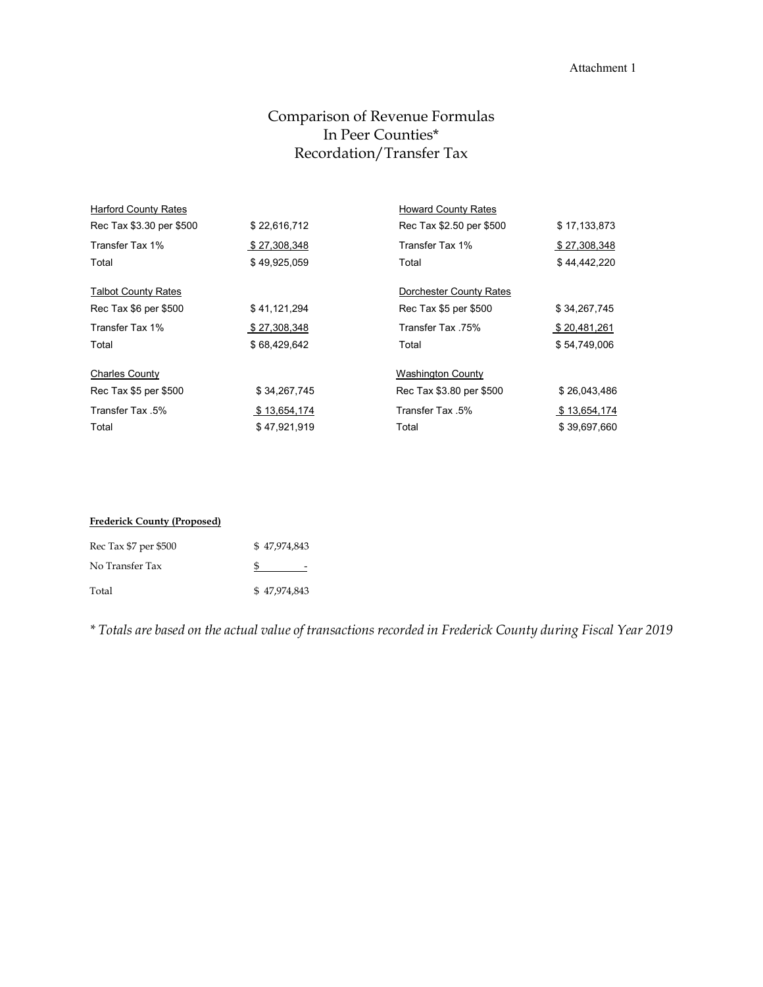#### Attachment 1

# Comparison of Revenue Formulas In Peer Counties\* Recordation/Transfer Tax

| <b>Harford County Rates</b> |              | <b>Howard County Rates</b> |              |
|-----------------------------|--------------|----------------------------|--------------|
| Rec Tax \$3.30 per \$500    | \$22,616,712 | Rec Tax \$2.50 per \$500   | \$17,133,873 |
| Transfer Tax 1%             | \$27,308,348 | Transfer Tax 1%            | \$27,308,348 |
| Total                       | \$49,925,059 | Total                      | \$44,442,220 |
| <b>Talbot County Rates</b>  |              | Dorchester County Rates    |              |
| Rec Tax \$6 per \$500       | \$41,121,294 | Rec Tax \$5 per \$500      | \$34,267,745 |
| Transfer Tax 1%             | \$27,308,348 | Transfer Tax 75%           | \$20,481,261 |
| Total                       | \$68,429,642 | Total                      | \$54,749,006 |
| <b>Charles County</b>       |              | <b>Washington County</b>   |              |
| Rec Tax \$5 per \$500       | \$34,267,745 | Rec Tax \$3.80 per \$500   | \$26,043,486 |
| Transfer Tax 5%             | \$13,654,174 | Transfer Tax 5%            | \$13,654,174 |
| Total                       | \$47,921,919 | Total                      | \$39,697,660 |

| <b>Frederick County (Proposed)</b> |              |  |
|------------------------------------|--------------|--|
| Rec Tax \$7 per \$500              | \$47,974,843 |  |
| No Transfer Tax                    |              |  |
| Total                              | \$47,974,843 |  |

*\* Totals are based on the actual value of transactions recorded in Frederick County during Fiscal Year 2019*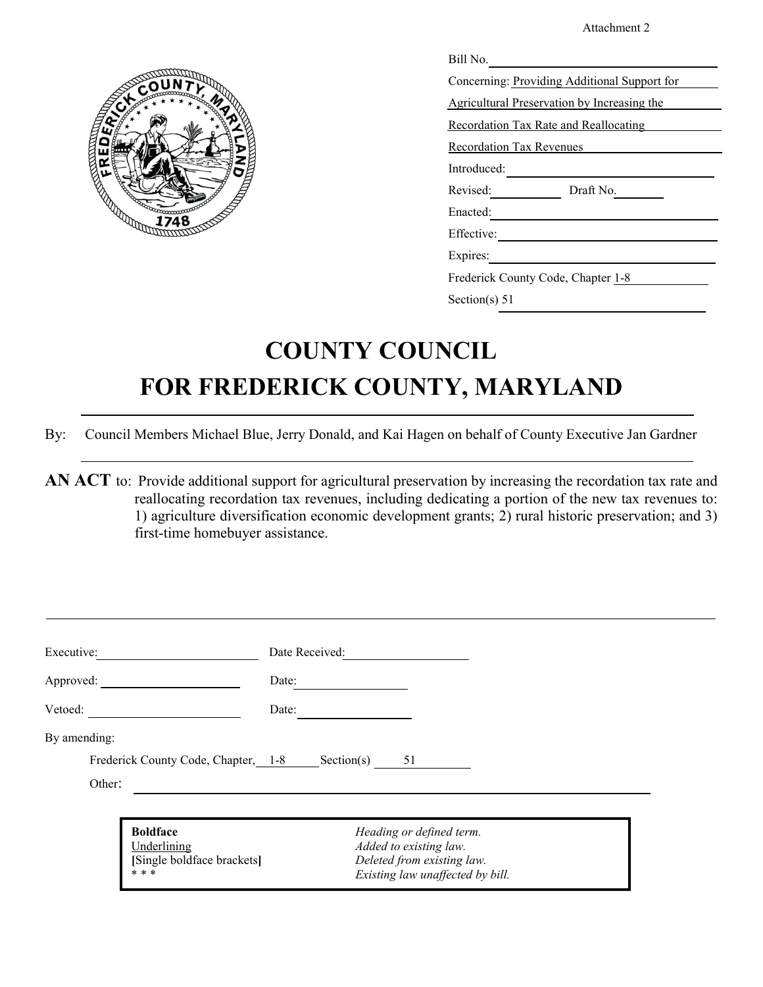Attachment 2



| Bill No.                                     |
|----------------------------------------------|
| Concerning: Providing Additional Support for |
| Agricultural Preservation by Increasing the  |
| Recordation Tax Rate and Reallocating        |
| Recordation Tax Revenues                     |
| Introduced:                                  |
| Revised:<br>Draft No.                        |
| Enacted:                                     |
| Effective:                                   |
| Expires:                                     |
| Frederick County Code, Chapter 1-8           |
| Section(s) $51$                              |

# **COUNTY COUNCIL FOR FREDERICK COUNTY, MARYLAND**

By: Council Members Michael Blue, Jerry Donald, and Kai Hagen on behalf of County Executive Jan Gardner

**AN ACT** to: Provide additional support for agricultural preservation by increasing the recordation tax rate and reallocating recordation tax revenues, including dedicating a portion of the new tax revenues to: 1) agriculture diversification economic development grants; 2) rural historic preservation; and 3) first-time homebuyer assistance.

| Executive:                                                            | Date Received:                                                                                                       |
|-----------------------------------------------------------------------|----------------------------------------------------------------------------------------------------------------------|
| Approved:                                                             | Date:                                                                                                                |
| Vetoed:                                                               | Date:                                                                                                                |
| By amending:                                                          |                                                                                                                      |
| Frederick County Code, Chapter, 1-8                                   | Section(s)<br>51                                                                                                     |
| Other:                                                                |                                                                                                                      |
| <b>Boldface</b><br>Underlining<br>[Single boldface brackets]<br>* * * | Heading or defined term.<br>Added to existing law.<br>Deleted from existing law.<br>Existing law unaffected by bill. |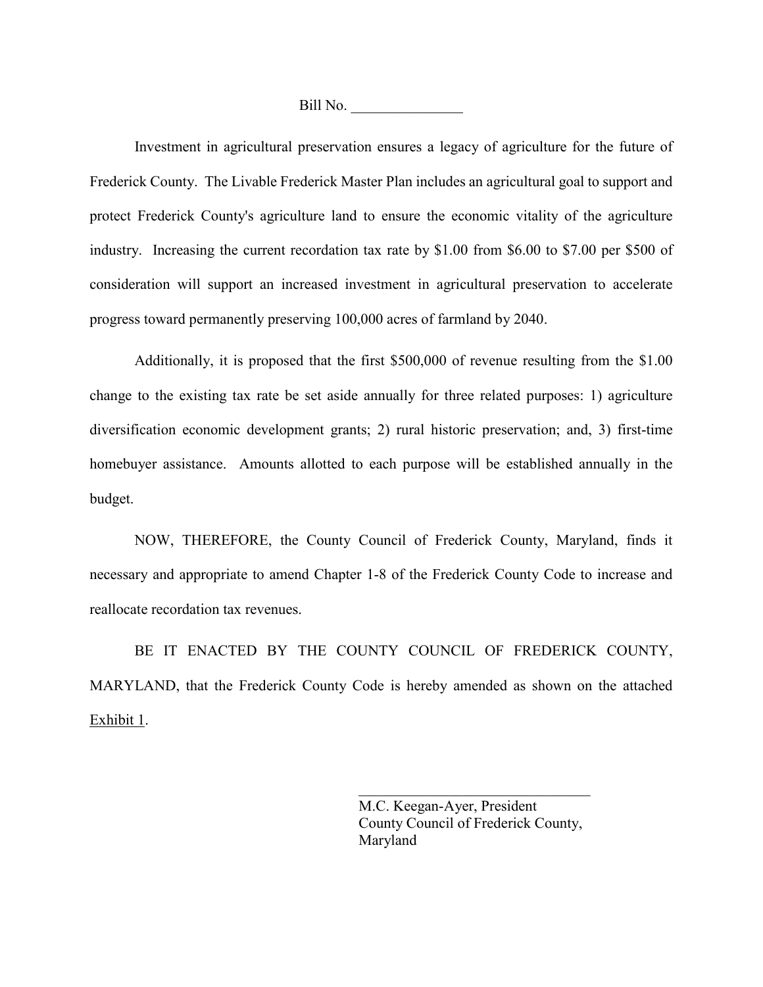Bill No.

Investment in agricultural preservation ensures a legacy of agriculture for the future of Frederick County. The Livable Frederick Master Plan includes an agricultural goal to support and protect Frederick County's agriculture land to ensure the economic vitality of the agriculture industry. Increasing the current recordation tax rate by \$1.00 from \$6.00 to \$7.00 per \$500 of consideration will support an increased investment in agricultural preservation to accelerate progress toward permanently preserving 100,000 acres of farmland by 2040.

Additionally, it is proposed that the first \$500,000 of revenue resulting from the \$1.00 change to the existing tax rate be set aside annually for three related purposes: 1) agriculture diversification economic development grants; 2) rural historic preservation; and, 3) first-time homebuyer assistance. Amounts allotted to each purpose will be established annually in the budget.

NOW, THEREFORE, the County Council of Frederick County, Maryland, finds it necessary and appropriate to amend Chapter 1-8 of the Frederick County Code to increase and reallocate recordation tax revenues.

BE IT ENACTED BY THE COUNTY COUNCIL OF FREDERICK COUNTY, MARYLAND, that the Frederick County Code is hereby amended as shown on the attached Exhibit 1.

> M.C. Keegan-Ayer, President County Council of Frederick County, Maryland

 $\mathcal{L}_\mathcal{L}$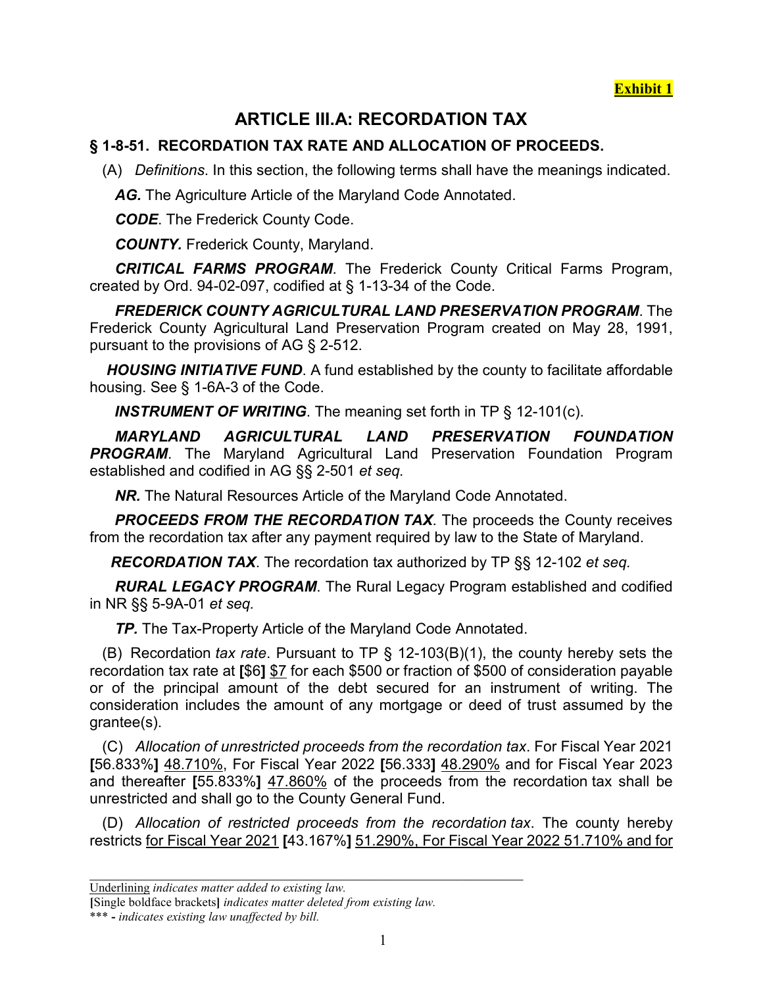**Exhibit 1**

# **ARTICLE III.A: RECORDATION TAX**

# **§ 1-8-51. RECORDATION TAX RATE AND ALLOCATION OF PROCEEDS.**

(A) *Definitions*. In this section, the following terms shall have the meanings indicated.

*AG.* The Agriculture Article of the Maryland Code Annotated.

*CODE*. The Frederick County Code.

*COUNTY.* Frederick County, Maryland.

 *CRITICAL FARMS PROGRAM*. The Frederick County Critical Farms Program, created by Ord. 94-02-097, codified at § 1-13-34 of the Code.

 *FREDERICK COUNTY AGRICULTURAL LAND PRESERVATION PROGRAM*. The Frederick County Agricultural Land Preservation Program created on May 28, 1991, pursuant to the provisions of AG § 2-512.

 *HOUSING INITIATIVE FUND*. A fund established by the county to facilitate affordable housing. See § 1-6A-3 of the Code.

*INSTRUMENT OF WRITING*. The meaning set forth in TP § 12-101(c).

 *MARYLAND AGRICULTURAL LAND PRESERVATION FOUNDATION*  **PROGRAM**. The Maryland Agricultural Land Preservation Foundation Program established and codified in AG §§ 2-501 *et seq.*

*NR.* The Natural Resources Article of the Maryland Code Annotated.

 *PROCEEDS FROM THE RECORDATION TAX*. The proceeds the County receives from the recordation tax after any payment required by law to the State of Maryland.

*RECORDATION TAX*. The recordation tax authorized by TP §§ 12-102 *et seq.*

 *RURAL LEGACY PROGRAM*. The Rural Legacy Program established and codified in NR §§ 5-9A-01 *et seq.*

*TP.* The Tax-Property Article of the Maryland Code Annotated.

 (B) Recordation *tax rate*. Pursuant to TP § 12-103(B)(1), the county hereby sets the recordation tax rate at **[**\$6**]** \$7 for each \$500 or fraction of \$500 of consideration payable or of the principal amount of the debt secured for an instrument of writing. The consideration includes the amount of any mortgage or deed of trust assumed by the grantee(s).

 (C) *Allocation of unrestricted proceeds from the recordation tax*. For Fiscal Year 2021 **[**56.833%**]** 48.710%, For Fiscal Year 2022 **[**56.333**]** 48.290% and for Fiscal Year 2023 and thereafter **[**55.833%**]** 47.860% of the proceeds from the recordation tax shall be unrestricted and shall go to the County General Fund.

 (D) *Allocation of restricted proceeds from the recordation tax*. The county hereby restricts for Fiscal Year 2021 **[**43.167%**]** 51.290%, For Fiscal Year 2022 51.710% and for

Underlining *indicates matter added to existing law.*

**<sup>[</sup>**Single boldface brackets**]** *indicates matter deleted from existing law.*

<sup>\*\*\*</sup> **-** *indicates existing law unaffected by bill.*